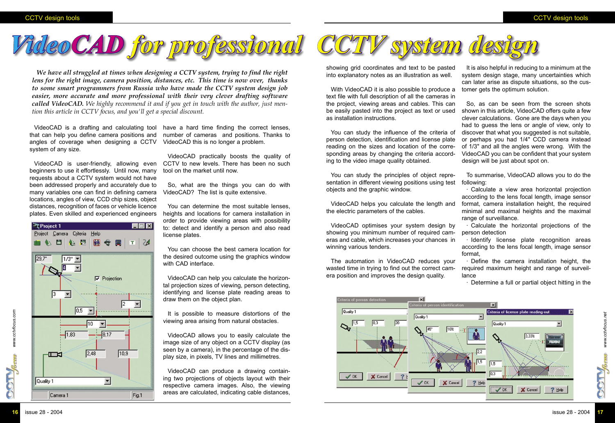*www.cctvfocus.com*

www.cctvfocus.com

**CGTV**Reens

## CCTV design tools CCTV design tools



VideoCAD is a drafting and calculating tool that can help you define camera positions and angles of coverage when designing a CCTV system of any size.

VideoCAD is user-friendly, allowing even beginners to use it effortlessly. Until now, many requests about a CCTV system would not have been addressed properly and accurately due to many variables one can find in defining camera locations, angles of view, CCD chip sizes, object distances, recognition of faces or vehicle licence plates. Even skilled and experienced engineers



have a hard time finding the correct lenses, number of cameras and positions. Thanks to VideoCAD this is no longer a problem.

VideoCAD practically boosts the quality of CCTV to new levels. There has been no such tool on the market until now.

So, what are the things you can do with VideoCAD? The list is quite extensive.

You can determine the most suitable lenses, heights and locations for camera installation in order to provide viewing areas with possibility to: detect and identify a person and also read license plates.

You can choose the best camera location for the desired outcome using the graphics window with CAD interface.

VideoCAD can help you calculate the horizontal projection sizes of viewing, person detecting, identifying and license plate reading areas to draw them on the object plan.

It is possible to measure distortions of the viewing area arising from natural obstacles.

VideoCAD allows you to easily calculate the image size of any object on a CCTV display (as seen by a camera), in the percentage of the display size, in pixels, TV lines and millimetres.

VideoCAD can produce a drawing containing two projections of objects layout with their respective camera images. Also, the viewing areas are calculated, indicating cable distances,



showing grid coordinates and text to be pasted into explanatory notes as an illustration as well.

With VideoCAD it is also possible to produce a text file with full description of all the cameras in the project, viewing areas and cables. This can be easily pasted into the project as text or used shown in this article, VideoCAD offers quite a few as installation instructions.

You can study the influence of the criteria of discover that what you suggested is not suitable, person detection, identification and license plate reading on the sizes and location of the corresponding areas by changing the criteria according to the video image quality obtained.

You can study the principles of object representation in different viewing positions using test objects and the graphic window.

VideoCAD helps you calculate the length and the electric parameters of the cables.

VideoCAD optimises your system design by showing you minimum number of required cameras and cable, which increases your chances in winning various tenders.

The automation in VideoCAD reduces your wasted time in trying to find out the correct camera position and improves the design quality.

It is also helpful in reducing to a minimum at the system design stage, many uncertainties which can later arise as dispute situations, so the customer gets the optimum solution.

So, as can be seen from the screen shots clever calculations. Gone are the days when you had to guess the lens or angle of view, only to or perhaps you had 1/4" CCD camera instead of 1/3" and all the angles were wrong. With the VideoCAD you can be confident that your system design will be just about spot on.

To summarise, VideoCAD allows you to do the

following:

· Calculate a view area horizontal projection according to the lens focal length, image sensor format, camera installation height, the required minimal and maximal heights and the maximal range of surveillance.

· Calculate the horizontal projections of the

person detection

· Identify license plate recognition areas according to the lens focal length, image sensor

format,

· Define the camera installation height, the required maximum height and range of surveil-

> $\vert x \vert$ Criteria of license plate reading-out www.cctvfocus.net *www.cctvfocus.net* Quality 1  $\overline{\phantom{0}}$  $\mathcal{L}$ **CGTV**  $\sqrt{1.5}$  $\sqrt{OK}$ X Cancel  $7$  Help

lance



· Determine a full or partial object hitting in the

*We have all struggled at times when designing a CCTV system, trying to find the right lens for the right image, camera position, distances, etc. This time is now over, thanks to some smart programmers from Russia who have made the CCTV system design job easier, more accurate and more professional with their very clever drafting software called VideoCAD. We highly recommend it and if you get in touch with the author, just mention this article in CCTV focus, and you'll get a special discount.*